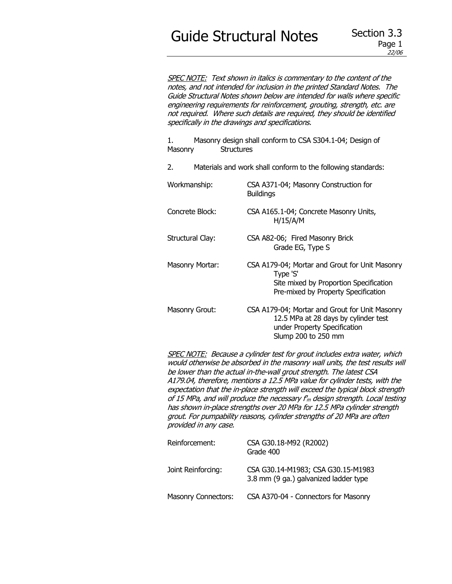# Guide Structural Notes Section 3.3

SPEC NOTE: Text shown in italics is commentary to the content of the notes, and not intended for inclusion in the printed Standard Notes. The Guide Structural Notes shown below are intended for walls where specific engineering requirements for reinforcement, grouting, strength, etc. are not required. Where such details are required, they should be identified specifically in the drawings and specifications.

1. Masonry design shall conform to CSA S304.1-04; Design of Masonry Structures

- 2. Materials and work shall conform to the following standards:
- Workmanship: CSA A371-04; Masonry Construction for **Buildings**
- Concrete Block: CSA A165.1-04; Concrete Masonry Units, H/15/A/M
- Structural Clay: CSA A82-06; Fired Masonry Brick Grade EG, Type S
- Masonry Mortar: CSA A179-04; Mortar and Grout for Unit Masonry Type 'S' Site mixed by Proportion Specification Pre-mixed by Property Specification
- Masonry Grout: CSA A179-04; Mortar and Grout for Unit Masonry 12.5 MPa at 28 days by cylinder test under Property Specification Slump 200 to 250 mm

SPEC NOTE: Because a cylinder test for grout includes extra water, which would otherwise be absorbed in the masonry wall units, the test results will be lower than the actual in-the-wall grout strength. The latest CSA A179.04, therefore, mentions a 12.5 MPa value for cylinder tests, with the expectation that the in-place strength will exceed the typical block strength of 15 MPa, and will produce the necessary  $f_m$  design strength. Local testing has shown in-place strengths over 20 MPa for 12.5 MPa cylinder strength grout. For pumpability reasons, cylinder strengths of 20 MPa are often provided in any case.

| Reinforcement:             | CSA G30.18-M92 (R2002)<br>Grade 400                                         |  |  |
|----------------------------|-----------------------------------------------------------------------------|--|--|
| Joint Reinforcing:         | CSA G30.14-M1983; CSA G30.15-M1983<br>3.8 mm (9 ga.) galvanized ladder type |  |  |
| <b>Masonry Connectors:</b> | CSA A370-04 - Connectors for Masonry                                        |  |  |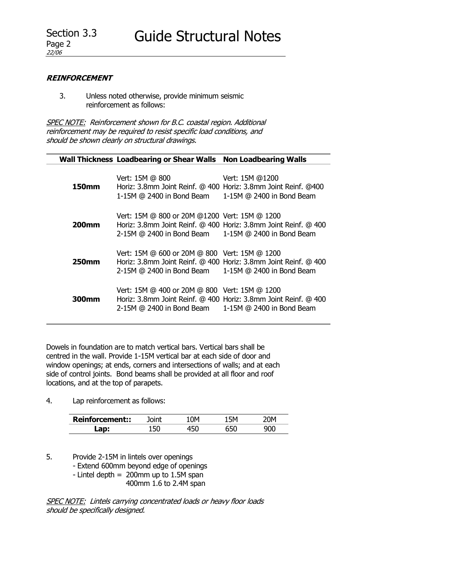### **REINFORCEMENT**

3. Unless noted otherwise, provide minimum seismic reinforcement as follows:

SPEC NOTE: Reinforcement shown for B.C. coastal region. Additional reinforcement may be required to resist specific load conditions, and should be shown clearly on structural drawings.

|                   | <b>Wall Thickness Loadbearing or Shear Walls</b>                                                               | <b>Non Loadbearing Walls</b>                                                                 |
|-------------------|----------------------------------------------------------------------------------------------------------------|----------------------------------------------------------------------------------------------|
| 150mm             | Vert: 15M @ 800<br>Horiz: 3.8mm Joint Reinf. @ 400 Horiz: 3.8mm Joint Reinf. @400<br>1-15M @ 2400 in Bond Beam | Vert: 15M @1200<br>1-15M @ 2400 in Bond Beam                                                 |
| 200mm             | Vert: 15M @ 800 or 20M @1200 Vert: 15M @ 1200<br>2-15M @ 2400 in Bond Beam 1-15M @ 2400 in Bond Beam           | Horiz: 3.8mm Joint Reinf. @ 400 Horiz: 3.8mm Joint Reinf. @ 400                              |
| 250 <sub>mm</sub> | Vert: 15M @ 600 or 20M @ 800 Vert: 15M @ 1200<br>2-15M @ 2400 in Bond Beam                                     | Horiz: 3.8mm Joint Reinf. @ 400 Horiz: 3.8mm Joint Reinf. @ 400<br>1-15M @ 2400 in Bond Beam |
| 300 <sub>mm</sub> | Vert: 15M @ 400 or 20M @ 800 Vert: 15M @ 1200<br>2-15M @ 2400 in Bond Beam                                     | Horiz: 3.8mm Joint Reinf. @ 400 Horiz: 3.8mm Joint Reinf. @ 400<br>1-15M @ 2400 in Bond Beam |

Dowels in foundation are to match vertical bars. Vertical bars shall be centred in the wall. Provide 1-15M vertical bar at each side of door and window openings; at ends, corners and intersections of walls; and at each side of control joints. Bond beams shall be provided at all floor and roof locations, and at the top of parapets.

4. Lap reinforcement as follows:

| −keir i<br>cement:: |  |  |
|---------------------|--|--|
|                     |  |  |

5. Provide 2-15M in lintels over openings

- Extend 600mm beyond edge of openings
- Lintel depth  $= 200$ mm up to 1.5M span

400mm 1.6 to 2.4M span

SPEC NOTE: Lintels carrying concentrated loads or heavy floor loads should be specifically designed.